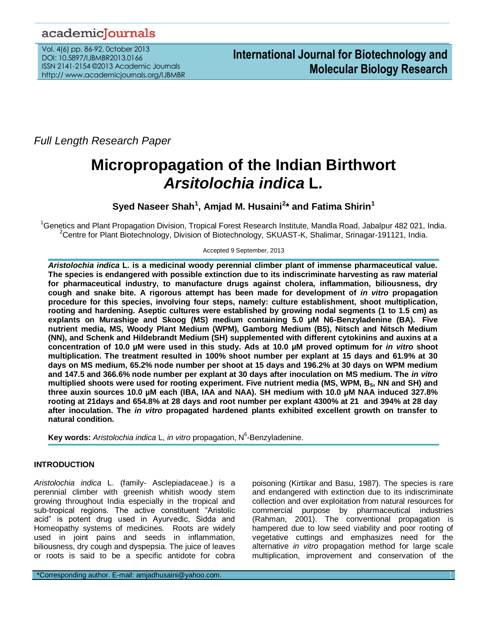# academicJournals

Vol. 4(6) pp. 86-92, 0ctober 2013 DOI: 10.5897/IJBMBR2013.0166 ISSN 2141-2154 ©2013 Academic Journals http:// www.academicjournals.org/IJBMBR

*Full Length Research Paper*

# **Micropropagation of the Indian Birthwort**  *Arsitolochia indica* **L***.*

**Syed Naseer Shah<sup>1</sup> , Amjad M. Husaini<sup>2</sup> \* and Fatima Shirin<sup>1</sup>**

<sup>1</sup>Genetics and Plant Propagation Division, Tropical Forest Research Institute, Mandla Road, Jabalpur 482 021, India. <sup>2</sup>Centre for Plant Biotechnology, Division of Biotechnology, SKUAST-K, Shalimar, Srinagar-191121, India.

Accepted 9 September, 2013

*Aristolochia indica* **L. is a medicinal woody perennial climber plant of immense pharmaceutical value. The species is endangered with possible extinction due to its indiscriminate harvesting as raw material for pharmaceutical industry, to manufacture drugs against cholera, inflammation, biliousness, dry cough and snake bite. A rigorous attempt has been made for development of** *in vitro* **propagation procedure for this species, involving four steps, namely: culture establishment, shoot multiplication, rooting and hardening. Aseptic cultures were established by growing nodal segments (1 to 1.5 cm) as explants on Murashige and Skoog (MS) medium containing 5.0 µM N6-Benzyladenine (BA). Five nutrient media, MS, Woody Plant Medium (WPM), Gamborg Medium (B5), Nitsch and Nitsch Medium (NN), and Schenk and Hildebrandt Medium (SH) supplemented with different cytokinins and auxins at a concentration of 10.0 µM were used in this study. Ads at 10.0 µM proved optimum for** *in vitro* **shoot multiplication. The treatment resulted in 100% shoot number per explant at 15 days and 61.9% at 30 days on MS medium, 65.2% node number per shoot at 15 days and 196.2% at 30 days on WPM medium and 147.5 and 366.6% node number per explant at 30 days after inoculation on MS medium. The** *in vitro* **multiplied shoots were used for rooting experiment. Five nutrient media (MS, WPM, B5, NN and SH) and three auxin sources 10.0 µM each (IBA, IAA and NAA). SH medium with 10.0 µM NAA induced 327.8% rooting at 21days and 654.8% at 28 days and root number per explant 4300% at 21 and 394% at 28 day after inoculation. The** *in vitro* **propagated hardened plants exhibited excellent growth on transfer to natural condition.**

Key words: Aristolochia indica L, in vitro propagation, N<sup>6</sup>-Benzyladenine.

# **INTRODUCTION**

*Aristolochia indica* L. (family- Asclepiadaceae.) is a perennial climber with greenish whitish woody stem growing throughout India especially in the tropical and sub-tropical regions. The active constituent "Aristolic acid" is potent drug used in Ayurvedic, Sidda and Homeopathy systems of medicines. Roots are widely used in joint pains and seeds in inflammation, biliousness, dry cough and dyspepsia. The juice of leaves or roots is said to be a specific antidote for cobra poisoning (Kirtikar and Basu, 1987). The species is rare and endangered with extinction due to its indiscriminate collection and over exploitation from natural resources for commercial purpose by pharmaceutical industries (Rahman, 2001). The conventional propagation is hampered due to low seed viability and poor rooting of vegetative cuttings and emphasizes need for the alternative *in vitro* propagation method for large scale multiplication, improvement and conservation of the

\*Corresponding author. E-mail: amjadhusaini@yahoo.com.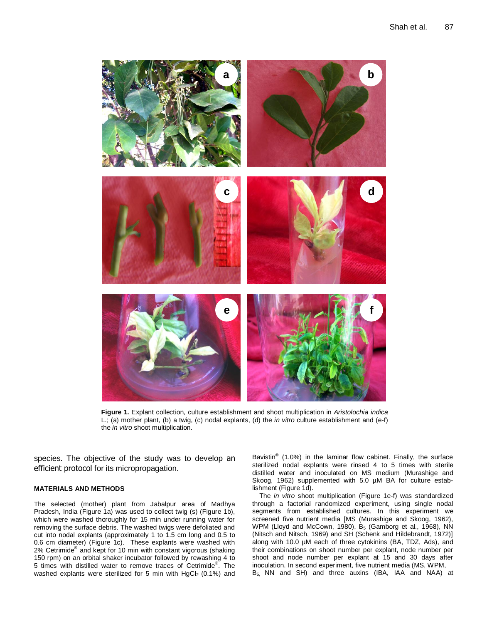

**Figure 1.** Explant collection, culture establishment and shoot multiplication in *Aristolochia indica*  L.; (a) mother plant, (b) a twig, (c) nodal explants, (d) the *in vitro* culture establishment and (e-f) the *in vitro* shoot multiplication.

species. The objective of the study was to develop an efficient protocol for its micropropagation.

#### **MATERIALS AND METHODS**

The selected (mother) plant from Jabalpur area of Madhya Pradesh, India (Figure 1a) was used to collect twig (s) (Figure 1b), which were washed thoroughly for 15 min under running water for removing the surface debris. The washed twigs were defoliated and cut into nodal explants (approximately 1 to 1.5 cm long and 0.5 to 0.6 cm diameter) (Figure 1c). These explants were washed with 2% Cetrimide<sup>®</sup> and kept for 10 min with constant vigorous (shaking 150 rpm) on an orbital shaker incubator followed by rewashing 4 to 5 times with distilled water to remove traces of Cetrimide<sup>®</sup>. The washed explants were sterilized for 5 min with  $HqCl<sub>2</sub>$  (0.1%) and

Bavistin<sup>®</sup> (1.0%) in the laminar flow cabinet. Finally, the surface sterilized nodal explants were rinsed 4 to 5 times with sterile distilled water and inoculated on MS medium (Murashige and Skoog, 1962) supplemented with 5.0 µM BA for culture establishment (Figure 1d).

The *in vitro* shoot multiplication (Figure 1e-f) was standardized through a factorial randomized experiment, using single nodal segments from established cultures. In this experiment we screened five nutrient media [MS (Murashige and Skoog, 1962), WPM (Lloyd and McCown, 1980), B<sub>5</sub> (Gamborg et al., 1968), NN (Nitsch and Nitsch, 1969) and SH (Schenk and Hildebrandt, 1972)] along with 10.0 µM each of three cytokinins (BA, TDZ, Ads), and their combinations on shoot number per explant, node number per shoot and node number per explant at 15 and 30 days after inoculation. In second experiment, five nutrient media (MS, WPM, B5, NN and SH) and three auxins (IBA, IAA and NAA) at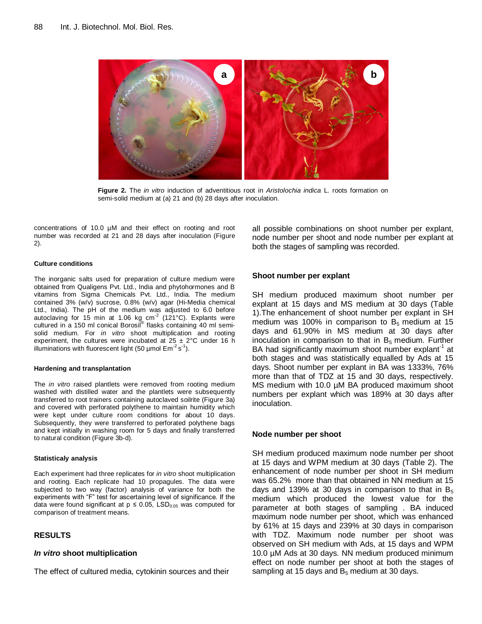

**Figure 2.** The *in vitro* induction of adventitious root in *Aristolochia indica* L. roots formation on semi-solid medium at (a) 21 and (b) 28 days after inoculation.

concentrations of 10.0 µM and their effect on rooting and root number was recorded at 21 and 28 days after inoculation (Figure 2).

#### **Culture conditions**

The inorganic salts used for preparation of culture medium were obtained from Qualigens Pvt. Ltd., India and phytohormones and B vitamins from Sigma Chemicals Pvt. Ltd., India. The medium contained 3% (w/v) sucrose, 0.8% (w/v) agar (Hi-Media chemical Ltd., India). The pH of the medium was adjusted to 6.0 before autoclaving for 15 min at 1.06 kg cm<sup>-2</sup> (121°C). Explants were<br>cultured in a 150 ml conical Borosil® flasks containing 40 ml semisolid medium. For *in vitro* shoot multiplication and rooting experiment, the cultures were incubated at  $25 \pm 2^{\circ}$ C under 16 h illuminations with fluorescent light (50 µmol  $Em^{-2} s^{-1}$ ).

#### **Hardening and transplantation**

The *in vitro* raised plantlets were removed from rooting medium washed with distilled water and the plantlets were subsequently transferred to root trainers containing autoclaved soilrite (Figure 3a) and covered with perforated polythene to maintain humidity which were kept under culture room conditions for about 10 days. Subsequently, they were transferred to perforated polythene bags and kept initially in washing room for 5 days and finally transferred to natural condition (Figure 3b-d).

#### **Statisticaly analysis**

Each experiment had three replicates for *in vitro* shoot multiplication and rooting. Each replicate had 10 propagules. The data were subjected to two way (factor) analysis of variance for both the experiments with "F" test for ascertaining level of significance. If the data were found significant at  $p \le 0.05$ , LSD<sub>0.05</sub> was computed for comparison of treatment means.

#### **RESULTS**

#### *In vitro* **shoot multiplication**

The effect of cultured media, cytokinin sources and their

all possible combinations on shoot number per explant, node number per shoot and node number per explant at both the stages of sampling was recorded.

#### **Shoot number per explant**

SH medium produced maximum shoot number per explant at 15 days and MS medium at 30 days (Table 1).The enhancement of shoot number per explant in SH medium was 100% in comparison to  $B_5$  medium at 15 days and 61.90% in MS medium at 30 days after inoculation in comparison to that in  $B_5$  medium. Further BA had significantly maximum shoot number explant<sup>-1</sup> at both stages and was statistically equalled by Ads at 15 days. Shoot number per explant in BA was 1333%, 76% more than that of TDZ at 15 and 30 days, respectively. MS medium with 10.0 µM BA produced maximum shoot numbers per explant which was 189% at 30 days after inoculation.

#### **Node number per shoot**

SH medium produced maximum node number per shoot at 15 days and WPM medium at 30 days (Table 2). The enhancement of node number per shoot in SH medium was 65.2% more than that obtained in NN medium at 15 days and 139% at 30 days in comparison to that in  $B_5$ medium which produced the lowest value for the parameter at both stages of sampling . BA induced maximum node number per shoot, which was enhanced by 61% at 15 days and 239% at 30 days in comparison with TDZ. Maximum node number per shoot was observed on SH medium with Ads, at 15 days and WPM 10.0 µM Ads at 30 days. NN medium produced minimum effect on node number per shoot at both the stages of sampling at 15 days and  $B_5$  medium at 30 days.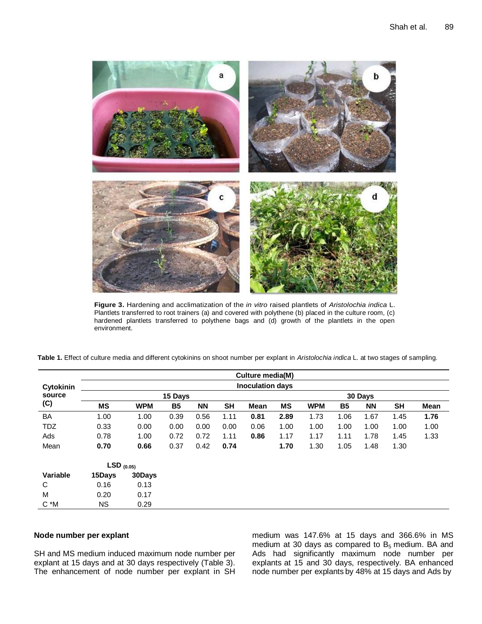

**Figure 3.** Hardening and acclimatization of the *in vitro* raised plantlets of *Aristolochia indica* L. Plantlets transferred to root trainers (a) and covered with polythene (b) placed in the culture room, (c) hardened plantlets transferred to polythene bags and (d) growth of the plantlets in the open environment.

|            | Culture media(M)        |            |           |           |           |             |           |            |           |           |      |      |  |  |
|------------|-------------------------|------------|-----------|-----------|-----------|-------------|-----------|------------|-----------|-----------|------|------|--|--|
| Cytokinin  | <b>Inoculation days</b> |            |           |           |           |             |           |            |           |           |      |      |  |  |
| source     |                         |            |           | 30 Days   |           |             |           |            |           |           |      |      |  |  |
| (C)        | MS                      | <b>WPM</b> | <b>B5</b> | <b>NN</b> | <b>SH</b> | <b>Mean</b> | <b>MS</b> | <b>WPM</b> | <b>B5</b> | <b>NN</b> | SH   | Mean |  |  |
| <b>BA</b>  | 1.00                    | 1.00       | 0.39      | 0.56      | 1.11      | 0.81        | 2.89      | 1.73       | 1.06      | 1.67      | 1.45 | 1.76 |  |  |
| <b>TDZ</b> | 0.33                    | 0.00       | 0.00      | 0.00      | 0.00      | 0.06        | 1.00      | 1.00       | 1.00      | 1.00      | 1.00 | 1.00 |  |  |
| Ads        | 0.78                    | 1.00       | 0.72      | 0.72      | 1.11      | 0.86        | 1.17      | 1.17       | 1.11      | 1.78      | 1.45 | 1.33 |  |  |
| Mean       | 0.70                    | 0.66       | 0.37      | 0.42      | 0.74      |             | 1.70      | 1.30       | 1.05      | 1.48      | 1.30 |      |  |  |
|            | $LSD$ (0.05)            |            |           |           |           |             |           |            |           |           |      |      |  |  |
| Variable   | 15Days                  | 30Days     |           |           |           |             |           |            |           |           |      |      |  |  |
| С          | 0.16                    | 0.13       |           |           |           |             |           |            |           |           |      |      |  |  |
| M          | 0.20                    | 0.17       |           |           |           |             |           |            |           |           |      |      |  |  |
| $C^*M$     | <b>NS</b>               | 0.29       |           |           |           |             |           |            |           |           |      |      |  |  |

**Table 1.** Effect of culture media and different cytokinins on shoot number per explant in *Aristolochia indica* L. at two stages of sampling.

# **Node number per explant**

SH and MS medium induced maximum node number per explant at 15 days and at 30 days respectively (Table 3). The enhancement of node number per explant in SH medium was 147.6% at 15 days and 366.6% in MS medium at 30 days as compared to  $B_5$  medium. BA and Ads had significantly maximum node number per explants at 15 and 30 days, respectively. BA enhanced node number per explants by 48% at 15 days and Ads by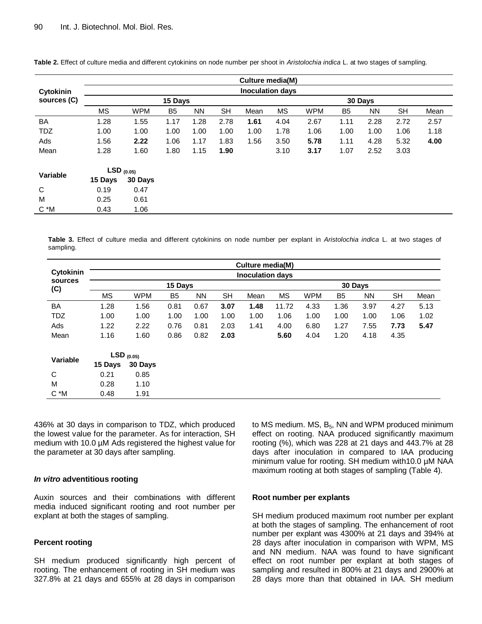|                 |                         |            |                |           |           | Culture media(M) |         |            |                |           |           |      |  |  |
|-----------------|-------------------------|------------|----------------|-----------|-----------|------------------|---------|------------|----------------|-----------|-----------|------|--|--|
| Cytokinin       | <b>Inoculation days</b> |            |                |           |           |                  |         |            |                |           |           |      |  |  |
| sources (C)     |                         |            | 15 Days        |           |           |                  | 30 Days |            |                |           |           |      |  |  |
|                 | MS                      | <b>WPM</b> | B <sub>5</sub> | <b>NN</b> | <b>SH</b> | Mean             | MS      | <b>WPM</b> | B <sub>5</sub> | <b>NN</b> | <b>SH</b> | Mean |  |  |
| <b>BA</b>       | 1.28                    | 1.55       | 1.17           | 1.28      | 2.78      | 1.61             | 4.04    | 2.67       | 1.11           | 2.28      | 2.72      | 2.57 |  |  |
| <b>TDZ</b>      | 1.00                    | 1.00       | 1.00           | 1.00      | 1.00      | 1.00             | 1.78    | 1.06       | 1.00           | 1.00      | 1.06      | 1.18 |  |  |
| Ads             | 1.56                    | 2.22       | 1.06           | 1.17      | 1.83      | 1.56             | 3.50    | 5.78       | 1.11           | 4.28      | 5.32      | 4.00 |  |  |
| Mean            | 1.28                    | 1.60       | 1.80           | 1.15      | 1.90      |                  | 3.10    | 3.17       | 1.07           | 2.52      | 3.03      |      |  |  |
|                 | $LSD_{(0.05)}$          |            |                |           |           |                  |         |            |                |           |           |      |  |  |
| <b>Variable</b> | 15 Days                 | 30 Days    |                |           |           |                  |         |            |                |           |           |      |  |  |
| C               | 0.19                    | 0.47       |                |           |           |                  |         |            |                |           |           |      |  |  |
| M               | 0.25                    | 0.61       |                |           |           |                  |         |            |                |           |           |      |  |  |
| $C^*M$          | 0.43                    | 1.06       |                |           |           |                  |         |            |                |           |           |      |  |  |

**Table 2.** Effect of culture media and different cytokinins on node number per shoot in *Aristolochia indica* L. at two stages of sampling.

**Table 3.** Effect of culture media and different cytokinins on node number per explant in *Aristolochia indica* L. at two stages of sampling.

|                | Culture media(M)        |              |                |           |           |         |           |            |                |           |           |      |  |
|----------------|-------------------------|--------------|----------------|-----------|-----------|---------|-----------|------------|----------------|-----------|-----------|------|--|
| Cytokinin      | <b>Inoculation days</b> |              |                |           |           |         |           |            |                |           |           |      |  |
| sources<br>(C) |                         |              | 15 Days        |           |           | 30 Days |           |            |                |           |           |      |  |
|                | <b>MS</b>               | <b>WPM</b>   | B <sub>5</sub> | <b>NN</b> | <b>SH</b> | Mean    | <b>MS</b> | <b>WPM</b> | B <sub>5</sub> | <b>NN</b> | <b>SH</b> | Mean |  |
| <b>BA</b>      | 1.28                    | 1.56         | 0.81           | 0.67      | 3.07      | 1.48    | 11.72     | 4.33       | 1.36           | 3.97      | 4.27      | 5.13 |  |
| <b>TDZ</b>     | 1.00                    | 1.00         | 1.00           | 1.00      | 1.00      | 1.00    | 1.06      | 1.00       | 1.00           | 1.00      | 1.06      | 1.02 |  |
| Ads            | 1.22                    | 2.22         | 0.76           | 0.81      | 2.03      | 1.41    | 4.00      | 6.80       | 1.27           | 7.55      | 7.73      | 5.47 |  |
| Mean           | 1.16                    | 1.60         | 0.86           | 0.82      | 2.03      |         | 5.60      | 4.04       | 1.20           | 4.18      | 4.35      |      |  |
| Variable       |                         | $LSD$ (0.05) |                |           |           |         |           |            |                |           |           |      |  |
|                | 15 Days                 | 30 Days      |                |           |           |         |           |            |                |           |           |      |  |
| C              | 0.21                    | 0.85         |                |           |           |         |           |            |                |           |           |      |  |
| M              | 0.28                    | 1.10         |                |           |           |         |           |            |                |           |           |      |  |
| C *M           | 0.48                    | 1.91         |                |           |           |         |           |            |                |           |           |      |  |

436% at 30 days in comparison to TDZ, which produced the lowest value for the parameter. As for interaction, SH medium with 10.0 µM Ads registered the highest value for the parameter at 30 days after sampling.

#### *In vitro* **adventitious rooting**

Auxin sources and their combinations with different media induced significant rooting and root number per explant at both the stages of sampling.

#### **Percent rooting**

SH medium produced significantly high percent of rooting. The enhancement of rooting in SH medium was 327.8% at 21 days and 655% at 28 days in comparison to MS medium.  $MS$ ,  $B_5$ , NN and WPM produced minimum effect on rooting. NAA produced significantly maximum rooting (%), which was 228 at 21 days and 443.7% at 28 days after inoculation in compared to IAA producing minimum value for rooting. SH medium with10.0 µM NAA maximum rooting at both stages of sampling (Table 4).

#### **Root number per explants**

SH medium produced maximum root number per explant at both the stages of sampling. The enhancement of root number per explant was 4300% at 21 days and 394% at 28 days after inoculation in comparison with WPM, MS and NN medium. NAA was found to have significant effect on root number per explant at both stages of sampling and resulted in 800% at 21 days and 2900% at 28 days more than that obtained in IAA. SH medium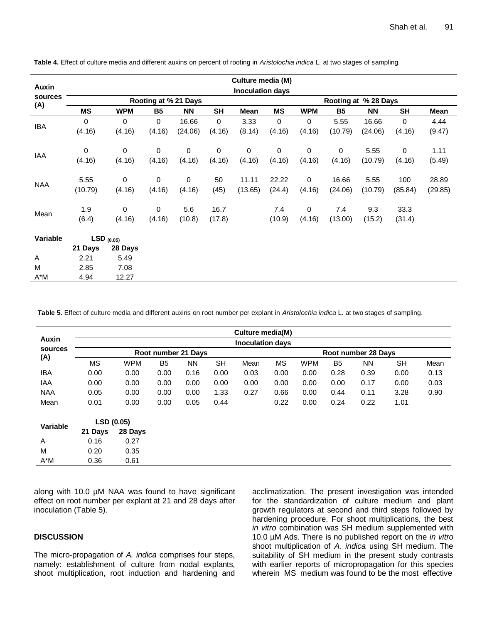|            |                         |            |           |                      |           | Culture media (M) |                      |             |           |           |           |         |  |  |
|------------|-------------------------|------------|-----------|----------------------|-----------|-------------------|----------------------|-------------|-----------|-----------|-----------|---------|--|--|
| Auxin      | <b>Inoculation days</b> |            |           |                      |           |                   |                      |             |           |           |           |         |  |  |
| sources    |                         |            |           | Rooting at % 21 Days |           |                   | Rooting at % 28 Days |             |           |           |           |         |  |  |
| (A)        | <b>MS</b>               | <b>WPM</b> | <b>B5</b> | <b>NN</b>            | <b>SH</b> | Mean              | <b>MS</b>            | <b>WPM</b>  | <b>B5</b> | <b>NN</b> | <b>SH</b> | Mean    |  |  |
| <b>IBA</b> | $\mathbf 0$             | 0          | 0         | 16.66                | 0         | 3.33              | 0                    | 0           | 5.55      | 16.66     | 0         | 4.44    |  |  |
|            | (4.16)                  | (4.16)     | (4.16)    | (24.06)              | (4.16)    | (8.14)            | (4.16)               | (4.16)      | (10.79)   | (24.06)   | (4.16)    | (9.47)  |  |  |
| IAA        | 0                       | $\pmb{0}$  | 0         | 0                    | 0         | 0                 | 0                    | 0           | 0         | 5.55      | 0         | 1.11    |  |  |
|            | (4.16)                  | (4.16)     | (4.16)    | (4.16)               | (4.16)    | (4.16)            | (4.16)               | (4.16)      | (4.16)    | (10.79)   | (4.16)    | (5.49)  |  |  |
|            | 5.55                    | 0          | 0         | 0                    | 50        | 11.11             | 22.22                | 0           | 16.66     | 5.55      | 100       | 28.89   |  |  |
| <b>NAA</b> | (10.79)                 | (4.16)     | (4.16)    | (4.16)               | (45)      | (13.65)           | (24.4)               | (4.16)      | (24.06)   | (10.79)   | (85.84)   | (29.85) |  |  |
|            | 1.9                     | 0          | 0         | 5.6                  | 16.7      |                   | 7.4                  | $\mathbf 0$ | 7.4       | 9.3       | 33.3      |         |  |  |
| Mean       | (6.4)                   | (4.16)     | (4.16)    | (10.8)               | (17.8)    |                   | (10.9)               | (4.16)      | (13.00)   | (15.2)    | (31.4)    |         |  |  |
| Variable   | $LSD$ (0.05)            |            |           |                      |           |                   |                      |             |           |           |           |         |  |  |
|            | 21 Days                 | 28 Days    |           |                      |           |                   |                      |             |           |           |           |         |  |  |
| Α          | 2.21                    | 5.49       |           |                      |           |                   |                      |             |           |           |           |         |  |  |
| M          | 2.85                    | 7.08       |           |                      |           |                   |                      |             |           |           |           |         |  |  |
| $A^*M$     | 4.94                    | 12.27      |           |                      |           |                   |                      |             |           |           |           |         |  |  |

**Table 4.** Effect of culture media and different auxins on percent of rooting in *Aristolochia indica* L. at two stages of sampling.

**Table 5.** Effect of culture media and different auxins on root number per explant in *Aristolochia indica* L. at two stages of sampling.

|                         | Culture media(M)        |            |           |                     |           |                     |           |            |                |           |           |      |  |
|-------------------------|-------------------------|------------|-----------|---------------------|-----------|---------------------|-----------|------------|----------------|-----------|-----------|------|--|
| Auxin<br>sources<br>(A) | <b>Inoculation days</b> |            |           |                     |           |                     |           |            |                |           |           |      |  |
|                         |                         |            |           | Root number 21 Days |           | Root number 28 Days |           |            |                |           |           |      |  |
|                         | <b>MS</b>               | <b>WPM</b> | <b>B5</b> | <b>NN</b>           | <b>SH</b> | Mean                | <b>MS</b> | <b>WPM</b> | B <sub>5</sub> | <b>NN</b> | <b>SH</b> | Mean |  |
| <b>IBA</b>              | 0.00                    | 0.00       | 0.00      | 0.16                | 0.00      | 0.03                | 0.00      | 0.00       | 0.28           | 0.39      | 0.00      | 0.13 |  |
| <b>IAA</b>              | 0.00                    | 0.00       | 0.00      | 0.00                | 0.00      | 0.00                | 0.00      | 0.00       | 0.00           | 0.17      | 0.00      | 0.03 |  |
| <b>NAA</b>              | 0.05                    | 0.00       | 0.00      | 0.00                | 1.33      | 0.27                | 0.66      | 0.00       | 0.44           | 0.11      | 3.28      | 0.90 |  |
| Mean                    | 0.01                    | 0.00       | 0.00      | 0.05                | 0.44      |                     | 0.22      | 0.00       | 0.24           | 0.22      | 1.01      |      |  |
| Variable                | LSD (0.05)              |            |           |                     |           |                     |           |            |                |           |           |      |  |
|                         | 21 Days                 | 28 Days    |           |                     |           |                     |           |            |                |           |           |      |  |
| Α                       | 0.16                    | 0.27       |           |                     |           |                     |           |            |                |           |           |      |  |
| M                       | 0.20                    | 0.35       |           |                     |           |                     |           |            |                |           |           |      |  |
| $A^*M$                  | 0.36                    | 0.61       |           |                     |           |                     |           |            |                |           |           |      |  |

along with 10.0 µM NAA was found to have significant effect on root number per explant at 21 and 28 days after inoculation (Table 5).

## **DISCUSSION**

The micro-propagation of *A. indica* comprises four steps, namely: establishment of culture from nodal explants, shoot multiplication, root induction and hardening and acclimatization. The present investigation was intended for the standardization of culture medium and plant growth regulators at second and third steps followed by hardening procedure. For shoot multiplications, the best *in vitro* combination was SH medium supplemented with 10.0 µM Ads. There is no published report on the *in vitro* shoot multiplication of *A. indica* using SH medium. The suitability of SH medium in the present study contrasts with earlier reports of micropropagation for this species wherein MS medium was found to be the most effective